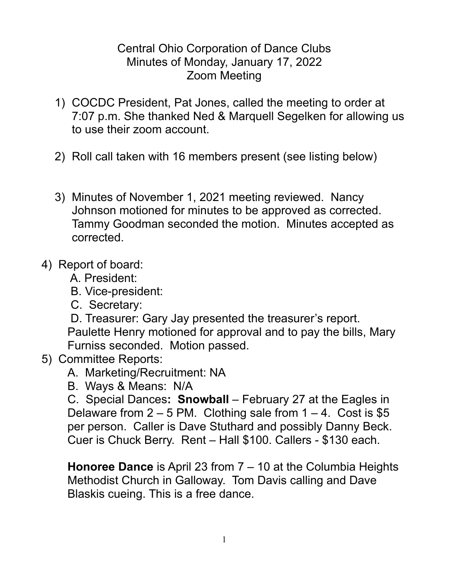## Central Ohio Corporation of Dance Clubs Minutes of Monday, January 17, 2022 Zoom Meeting

- 1) COCDC President, Pat Jones, called the meeting to order at 7:07 p.m. She thanked Ned & Marquell Segelken for allowing us to use their zoom account.
- 2) Roll call taken with 16 members present (see listing below)
- 3) Minutes of November 1, 2021 meeting reviewed. Nancy Johnson motioned for minutes to be approved as corrected. Tammy Goodman seconded the motion. Minutes accepted as corrected.
- 4) Report of board:
	- A. President:
	- B. Vice-president:
	- C. Secretary:

D. Treasurer: Gary Jay presented the treasurer's report. Paulette Henry motioned for approval and to pay the bills, Mary Furniss seconded. Motion passed.

- 5) Committee Reports:
	- A. Marketing/Recruitment: NA
	- B. Ways & Means: N/A

C. Special Dances**: Snowball** – February 27 at the Eagles in Delaware from  $2 - 5$  PM. Clothing sale from  $1 - 4$ . Cost is \$5 per person. Caller is Dave Stuthard and possibly Danny Beck. Cuer is Chuck Berry. Rent – Hall \$100. Callers - \$130 each.

**Honoree Dance** is April 23 from 7 – 10 at the Columbia Heights Methodist Church in Galloway. Tom Davis calling and Dave Blaskis cueing. This is a free dance.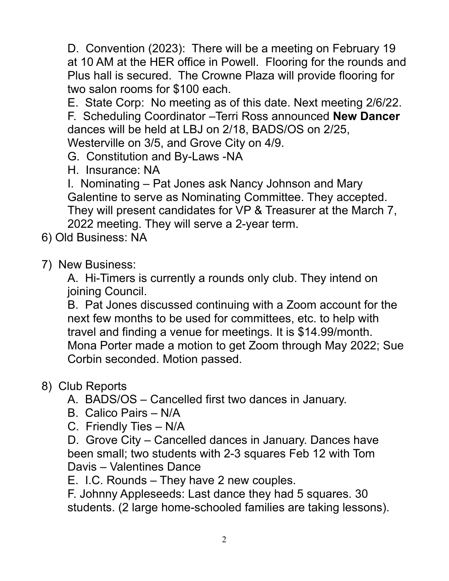D. Convention (2023): There will be a meeting on February 19 at 10 AM at the HER office in Powell. Flooring for the rounds and Plus hall is secured. The Crowne Plaza will provide flooring for two salon rooms for \$100 each.

E. State Corp: No meeting as of this date. Next meeting 2/6/22. F. Scheduling Coordinator –Terri Ross announced **New Dancer** dances will be held at LBJ on 2/18, BADS/OS on 2/25, Westerville on 3/5, and Grove City on 4/9.

G. Constitution and By-Laws -NA

H. Insurance: NA

I. Nominating – Pat Jones ask Nancy Johnson and Mary Galentine to serve as Nominating Committee. They accepted. They will present candidates for VP & Treasurer at the March 7, 2022 meeting. They will serve a 2-year term.

- 6) Old Business: NA
- 7) New Business:

A. Hi-Timers is currently a rounds only club. They intend on joining Council.

B. Pat Jones discussed continuing with a Zoom account for the next few months to be used for committees, etc. to help with travel and finding a venue for meetings. It is \$14.99/month. Mona Porter made a motion to get Zoom through May 2022; Sue Corbin seconded. Motion passed.

## 8) Club Reports

- A. BADS/OS Cancelled first two dances in January.
- B. Calico Pairs N/A
- C. Friendly Ties N/A

D. Grove City – Cancelled dances in January. Dances have been small; two students with 2-3 squares Feb 12 with Tom Davis – Valentines Dance

E. I.C. Rounds – They have 2 new couples.

F. Johnny Appleseeds: Last dance they had 5 squares. 30 students. (2 large home-schooled families are taking lessons).